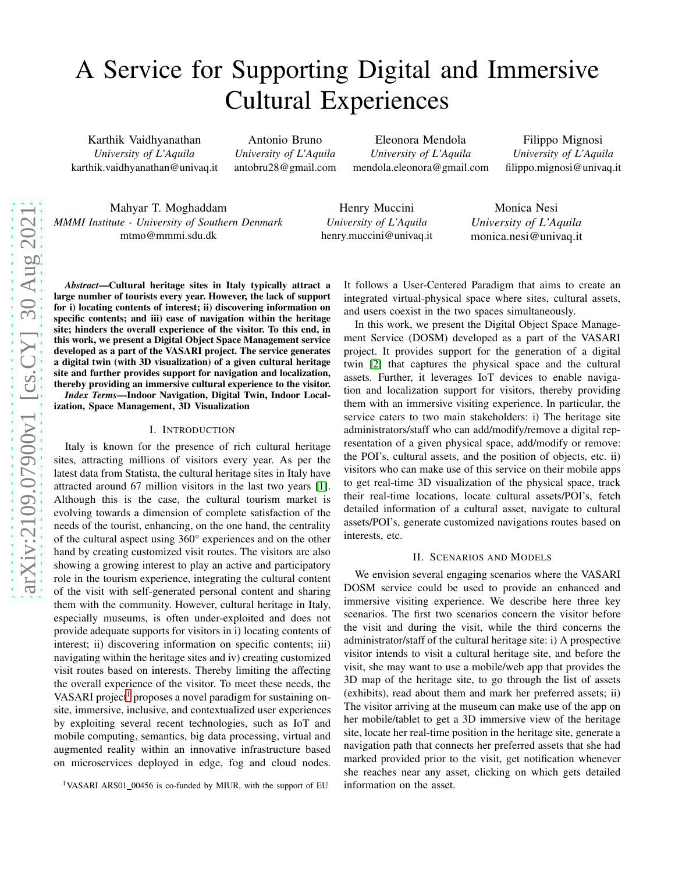# A Service for Supporting Digital and Immersive Cultural Experiences

Karthik Vaidhyanathan *University of L'Aquila* karthik.vaidhyanathan@univaq.it

Antonio Bruno *University of L'Aquila* antobru28@gmail.com

Eleonora Mendola *University of L'Aquila* mendola.eleonora@gmail.com

Filippo Mignosi *University of L'Aquila* filippo.mignosi@univaq.it

Mahyar T. Moghaddam *MMMI Institute - University of Southern Denmark* mtmo@mmmi.sdu.dk

Henry Muccini *University of L'Aquila* henry.muccini@univaq.it

Monica Nesi *University of L'Aquila* monica.nesi@univaq.it

*Abstract*—Cultural heritage sites in Italy typically attract a large number of tourists every year. However, the lack of support for i) locating contents of interest; ii) discovering information on specific contents; and iii) ease of navigation within the heritage site; hinders the overall experience of the visitor. To this end, in this work, we present a Digital Object Space Management service developed as a part of the VASARI project. The service generates a digital twin (with 3D visualization) of a given cultural heritage site and further provides support for navigation and localization, thereby providing an immersive cultural experience to the visitor.

*Index Terms*—Indoor Navigation, Digital Twin, Indoor Localization, Space Management, 3D Visualization

# I. INTRODUCTION

Italy is known for the presence of rich cultural heritage sites, attracting millions of visitors every year. As per the latest data from Statista, the cultural heritage sites in Italy have attracted around 67 million visitors in the last two years [\[1\]](#page-1-0). Although this is the case, the cultural tourism market is evolving towards a dimension of complete satisfaction of the needs of the tourist, enhancing, on the one hand, the centrality of the cultural aspect using 360° experiences and on the other hand by creating customized visit routes. The visitors are also showing a growing interest to play an active and participatory role in the tourism experience, integrating the cultural content of the visit with self-generated personal content and sharing them with the community. However, cultural heritage in Italy, especially museums, is often under-exploited and does not provide adequate supports for visitors in i) locating contents of interest; ii) discovering information on specific contents; iii) navigating within the heritage sites and iv) creating customized visit routes based on interests. Thereby limiting the affecting the overall experience of the visitor. To meet these needs, the VASARI project<sup>[1](#page-0-0)</sup> proposes a novel paradigm for sustaining onsite, immersive, inclusive, and contextualized user experiences by exploiting several recent technologies, such as IoT and mobile computing, semantics, big data processing, virtual and augmented reality within an innovative infrastructure based on microservices deployed in edge, fog and cloud nodes.

It follows a User-Centered Paradigm that aims to create an integrated virtual-physical space where sites, cultural assets, and users coexist in the two spaces simultaneously.

In this work, we present the Digital Object Space Management Service (DOSM) developed as a part of the VASARI project. It provides support for the generation of a digital twin [\[2\]](#page-1-1) that captures the physical space and the cultural assets. Further, it leverages IoT devices to enable navigation and localization support for visitors, thereby providing them with an immersive visiting experience. In particular, the service caters to two main stakeholders: i) The heritage site administrators/staff who can add/modify/remove a digital representation of a given physical space, add/modify or remove: the POI's, cultural assets, and the position of objects, etc. ii) visitors who can make use of this service on their mobile apps to get real-time 3D visualization of the physical space, track their real-time locations, locate cultural assets/POI's, fetch detailed information of a cultural asset, navigate to cultural assets/POI's, generate customized navigations routes based on interests, etc.

#### II. SCENARIOS AND MODELS

We envision several engaging scenarios where the VASARI DOSM service could be used to provide an enhanced and immersive visiting experience. We describe here three key scenarios. The first two scenarios concern the visitor before the visit and during the visit, while the third concerns the administrator/staff of the cultural heritage site: i) A prospective visitor intends to visit a cultural heritage site, and before the visit, she may want to use a mobile/web app that provides the 3D map of the heritage site, to go through the list of assets (exhibits), read about them and mark her preferred assets; ii) The visitor arriving at the museum can make use of the app on her mobile/tablet to get a 3D immersive view of the heritage site, locate her real-time position in the heritage site, generate a navigation path that connects her preferred assets that she had marked provided prior to the visit, get notification whenever she reaches near any asset, clicking on which gets detailed information on the asset.

<span id="page-0-0"></span><sup>&</sup>lt;sup>1</sup>VASARI ARS01\_00456 is co-funded by MIUR, with the support of EU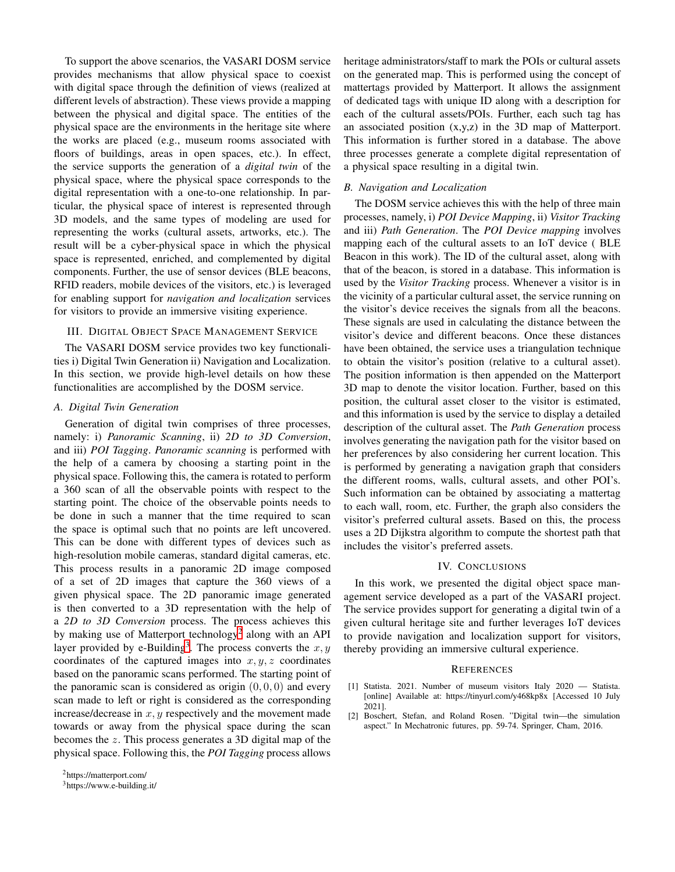To support the above scenarios, the VASARI DOSM service provides mechanisms that allow physical space to coexist with digital space through the definition of views (realized at different levels of abstraction). These views provide a mapping between the physical and digital space. The entities of the physical space are the environments in the heritage site where the works are placed (e.g., museum rooms associated with floors of buildings, areas in open spaces, etc.). In effect, the service supports the generation of a *digital twin* of the physical space, where the physical space corresponds to the digital representation with a one-to-one relationship. In particular, the physical space of interest is represented through 3D models, and the same types of modeling are used for representing the works (cultural assets, artworks, etc.). The result will be a cyber-physical space in which the physical space is represented, enriched, and complemented by digital components. Further, the use of sensor devices (BLE beacons, RFID readers, mobile devices of the visitors, etc.) is leveraged for enabling support for *navigation and localization* services for visitors to provide an immersive visiting experience.

# III. DIGITAL OBJECT SPACE MANAGEMENT SERVICE

The VASARI DOSM service provides two key functionalities i) Digital Twin Generation ii) Navigation and Localization. In this section, we provide high-level details on how these functionalities are accomplished by the DOSM service.

# *A. Digital Twin Generation*

Generation of digital twin comprises of three processes, namely: i) *Panoramic Scanning*, ii) *2D to 3D Conversion*, and iii) *POI Tagging*. *Panoramic scanning* is performed with the help of a camera by choosing a starting point in the physical space. Following this, the camera is rotated to perform a 360 scan of all the observable points with respect to the starting point. The choice of the observable points needs to be done in such a manner that the time required to scan the space is optimal such that no points are left uncovered. This can be done with different types of devices such as high-resolution mobile cameras, standard digital cameras, etc. This process results in a panoramic 2D image composed of a set of 2D images that capture the 360 views of a given physical space. The 2D panoramic image generated is then converted to a 3D representation with the help of a *2D to 3D Conversion* process. The process achieves this by making use of Matterport technology<sup>[2](#page-1-2)</sup> along with an API layer provided by e-Building<sup>[3](#page-1-3)</sup>. The process converts the  $x, y$ coordinates of the captured images into  $x, y, z$  coordinates based on the panoramic scans performed. The starting point of the panoramic scan is considered as origin  $(0, 0, 0)$  and every scan made to left or right is considered as the corresponding increase/decrease in  $x, y$  respectively and the movement made towards or away from the physical space during the scan becomes the z. This process generates a 3D digital map of the physical space. Following this, the *POI Tagging* process allows

heritage administrators/staff to mark the POIs or cultural assets on the generated map. This is performed using the concept of mattertags provided by Matterport. It allows the assignment of dedicated tags with unique ID along with a description for each of the cultural assets/POIs. Further, each such tag has an associated position (x,y,z) in the 3D map of Matterport. This information is further stored in a database. The above three processes generate a complete digital representation of a physical space resulting in a digital twin.

### *B. Navigation and Localization*

The DOSM service achieves this with the help of three main processes, namely, i) *POI Device Mapping*, ii) *Visitor Tracking* and iii) *Path Generation*. The *POI Device mapping* involves mapping each of the cultural assets to an IoT device ( BLE Beacon in this work). The ID of the cultural asset, along with that of the beacon, is stored in a database. This information is used by the *Visitor Tracking* process. Whenever a visitor is in the vicinity of a particular cultural asset, the service running on the visitor's device receives the signals from all the beacons. These signals are used in calculating the distance between the visitor's device and different beacons. Once these distances have been obtained, the service uses a triangulation technique to obtain the visitor's position (relative to a cultural asset). The position information is then appended on the Matterport 3D map to denote the visitor location. Further, based on this position, the cultural asset closer to the visitor is estimated, and this information is used by the service to display a detailed description of the cultural asset. The *Path Generation* process involves generating the navigation path for the visitor based on her preferences by also considering her current location. This is performed by generating a navigation graph that considers the different rooms, walls, cultural assets, and other POI's. Such information can be obtained by associating a mattertag to each wall, room, etc. Further, the graph also considers the visitor's preferred cultural assets. Based on this, the process uses a 2D Dijkstra algorithm to compute the shortest path that includes the visitor's preferred assets.

#### IV. CONCLUSIONS

In this work, we presented the digital object space management service developed as a part of the VASARI project. The service provides support for generating a digital twin of a given cultural heritage site and further leverages IoT devices to provide navigation and localization support for visitors, thereby providing an immersive cultural experience.

#### **REFERENCES**

- <span id="page-1-0"></span>[1] Statista. 2021. Number of museum visitors Italy 2020 — Statista. [online] Available at: https://tinyurl.com/y468kp8x [Accessed 10 July 2021].
- <span id="page-1-1"></span>[2] Boschert, Stefan, and Roland Rosen. "Digital twin—the simulation aspect." In Mechatronic futures, pp. 59-74. Springer, Cham, 2016.

<sup>2</sup>https://matterport.com/

<span id="page-1-3"></span><span id="page-1-2"></span><sup>3</sup>https://www.e-building.it/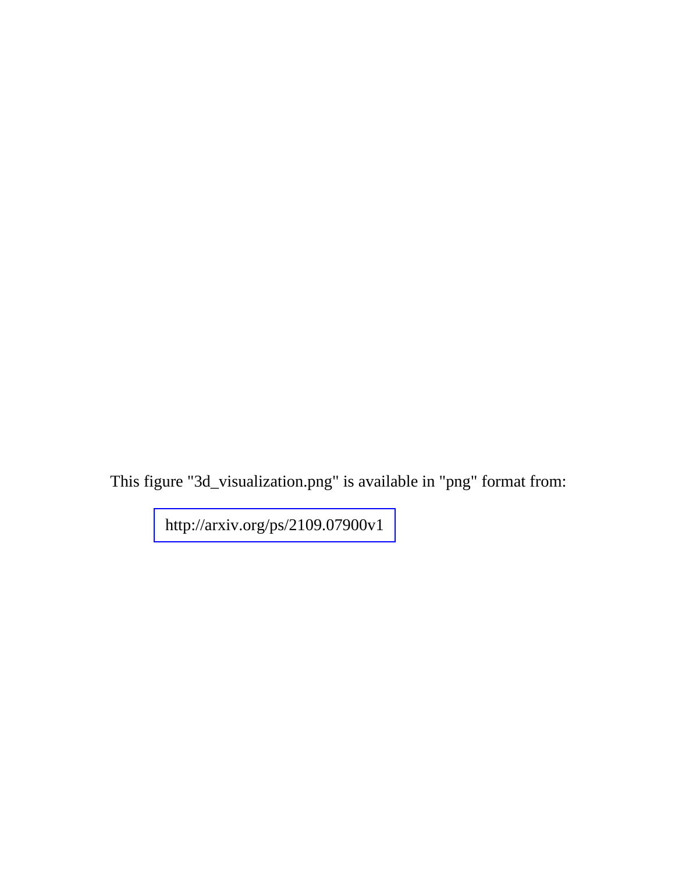This figure "3d\_visualization.png" is available in "png" format from:

<http://arxiv.org/ps/2109.07900v1>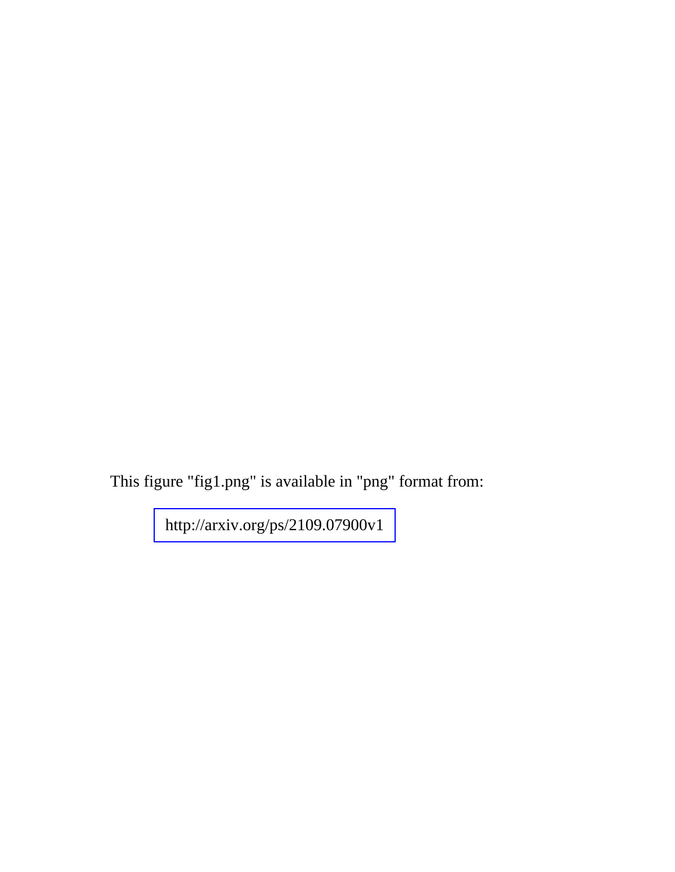This figure "fig1.png" is available in "png" format from:

<http://arxiv.org/ps/2109.07900v1>